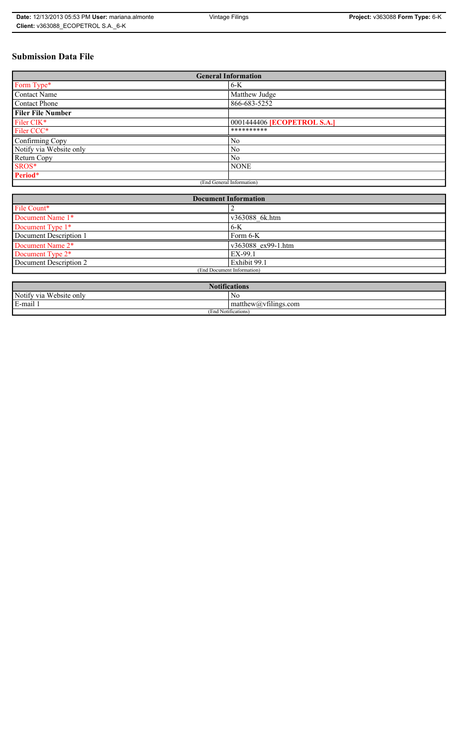# **Submission Data File**

| <b>General Information</b> |                                    |  |  |
|----------------------------|------------------------------------|--|--|
| Form Type*                 | $6-K$                              |  |  |
| <b>Contact Name</b>        | Matthew Judge                      |  |  |
| Contact Phone              | 866-683-5252                       |  |  |
| <b>Filer File Number</b>   |                                    |  |  |
| Filer CIK*                 | 0001444406 <b>[ECOPETROL S.A.]</b> |  |  |
| Filer CCC*                 | **********                         |  |  |
| Confirming Copy            | No                                 |  |  |
| Notify via Website only    | N <sub>0</sub>                     |  |  |
| Return Copy                | N <sub>0</sub>                     |  |  |
| SROS*                      | <b>NONE</b>                        |  |  |
| Period*                    |                                    |  |  |
| (End General Information)  |                                    |  |  |

| <b>Document Information</b>  |                    |  |
|------------------------------|--------------------|--|
| File Count*                  |                    |  |
| Document Name 1*             | v363088 6k.htm     |  |
| Document Type 1*             | $6-K$              |  |
| Document Description 1       | Form 6-K           |  |
| Document Name 2 <sup>*</sup> | v363088 ex99-1.htm |  |
| Document Type 2 <sup>*</sup> | EX-99.1            |  |
| Document Description 2       | Exhibit 99.1       |  |
| (End Document Information)   |                    |  |
|                              |                    |  |

| Notifi.<br>tications       |                                                                                                                                                                                                |  |
|----------------------------|------------------------------------------------------------------------------------------------------------------------------------------------------------------------------------------------|--|
| Website only<br>Notify via | N0                                                                                                                                                                                             |  |
| 3-mail 1<br>$\blacksquare$ | $\sim$ 1.<br>$mathem{$ therew( <i>a</i> ) <sub>v</sub> $t$ $t$ $t$ $t$ $t$ $t$ $t$ $t$ $t$ $t$ $t$ $t$ $t$ $t$ $t$ $t$ $t$ $t$ $t$ $t$ $t$ $t$ $t$ $t$ $t$ $t$ $t$ $t$ $t$ $t$ $t$ $t$ $t$ $t$ |  |
| (End Notifications)        |                                                                                                                                                                                                |  |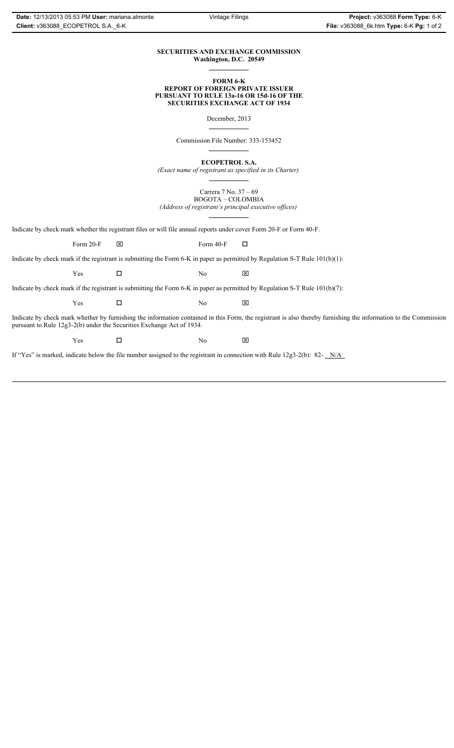### **SECURITIES AND EXCHANGE COMMISSION Washington, D.C. 20549**

### **FORM 6-K REPORT OF FOREIGN PRIVATE ISSUER PURSUANT TO RULE 13a-16 OR 15d-16 OF THE SECURITIES EXCHANGE ACT OF 1934**

December, 2013

Commission File Number: 333-153452

**ECOPETROL S.A.**

*(Exact name of registrant as specified in its Charter)*

Carrera 7 No. 37 – 69 BOGOTA – COLOMBIA *(Address of registrant's principal executive offices)*

Indicate by check mark whether the registrant files or will file annual reports under cover Form 20-F or Form 40-F.

Form 20-F  $\boxtimes$  Form 40-F  $\Box$ 

Indicate by check mark if the registrant is submitting the Form 6-K in paper as permitted by Regulation S-T Rule 101(b)(1):

 $Yes$   $\Box$  No  $X$ 

Indicate by check mark if the registrant is submitting the Form 6-K in paper as permitted by Regulation S-T Rule 101(b)(7):

 $Yes$   $\Box$  No  $X$ 

Indicate by check mark whether by furnishing the information contained in this Form, the registrant is also thereby furnishing the information to the Commission pursuant to Rule 12g3-2(b) under the Securities Exchange Act of 1934.

 $Yes$   $\Box$  No  $X$ 

If "Yes" is marked, indicate below the file number assigned to the registrant in connection with Rule 12g3-2(b): 82- N/A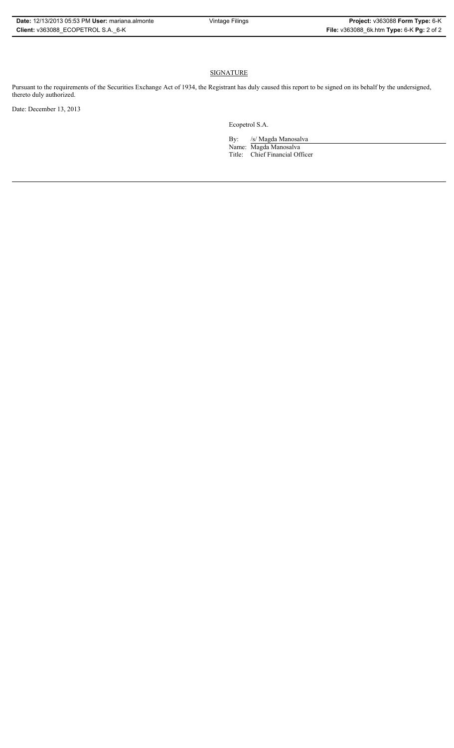## **SIGNATURE**

Pursuant to the requirements of the Securities Exchange Act of 1934, the Registrant has duly caused this report to be signed on its behalf by the undersigned, thereto duly authorized.

Date: December 13, 2013

Ecopetrol S.A.

By: /s/ Magda Manosalva Name: Magda Manosalva Title: Chief Financial Officer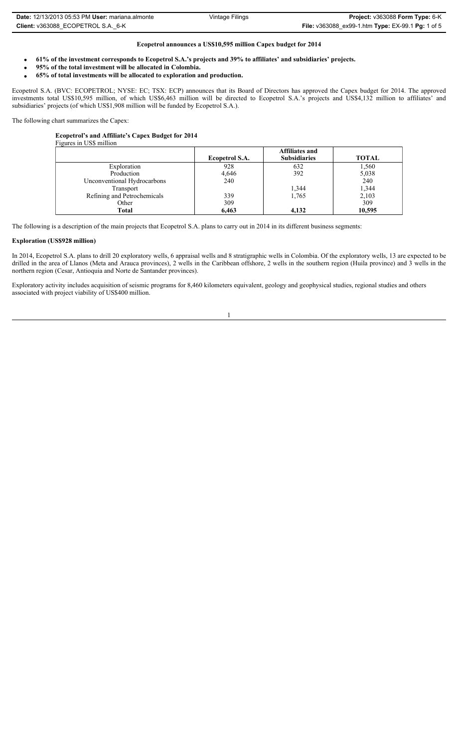| <b>Date: 12/13/2013 05:53 PM User: mariana.almonte</b> | Vintage Filings | <b>Project: <math>v363088</math> Form Type: <math>6-K</math></b>         |
|--------------------------------------------------------|-----------------|--------------------------------------------------------------------------|
| Client: v363088 ECOPETROL S.A. 6-K                     |                 | <b>File:</b> $v363088$ ex99-1.htm <b>Type:</b> EX-99.1 <b>Pg:</b> 1 of 5 |

### **Ecopetrol announces a US\$10,595 million Capex budget for 2014**

- x **61% of the investment corresponds to Ecopetrol S.A.'s projects and 39% to affiliates' and subsidiaries' projects.**
- **95% of the total investment will be allocated in Colombia.**
- x **65% of total investments will be allocated to exploration and production.**

Ecopetrol S.A. (BVC: ECOPETROL; NYSE: EC; TSX: ECP) announces that its Board of Directors has approved the Capex budget for 2014. The approved investments total US\$10,595 million, of which US\$6,463 million will be directed to Ecopetrol S.A.'s projects and US\$4,132 million to affiliates' and subsidiaries' projects (of which US\$1,908 million will be funded by Ecopetrol S.A.).

The following chart summarizes the Capex:

### **Ecopetrol's and Affiliate's Capex Budget for 2014**

| Figures in US\$ million     |                |                                              |              |  |
|-----------------------------|----------------|----------------------------------------------|--------------|--|
|                             | Ecopetrol S.A. | <b>Affiliates and</b><br><b>Subsidiaries</b> | <b>TOTAL</b> |  |
| Exploration                 | 928            | 632                                          | 1,560        |  |
| Production                  | 4,646          | 392                                          | 5,038        |  |
| Unconventional Hydrocarbons | 240            |                                              | 240          |  |
| Transport                   |                | 1,344                                        | 1,344        |  |
| Refining and Petrochemicals | 339            | 1,765                                        | 2,103        |  |
| Other                       | 309            |                                              | 309          |  |
| Total                       | 6,463          | 4.132                                        | 10,595       |  |

The following is a description of the main projects that Ecopetrol S.A. plans to carry out in 2014 in its different business segments:

### **Exploration (US\$928 million)**

In 2014, Ecopetrol S.A. plans to drill 20 exploratory wells, 6 appraisal wells and 8 stratigraphic wells in Colombia. Of the exploratory wells, 13 are expected to be drilled in the area of Llanos (Meta and Arauca provinces), 2 wells in the Caribbean offshore, 2 wells in the southern region (Huila province) and 3 wells in the northern region (Cesar, Antioquia and Norte de Santander provinces).

1

Exploratory activity includes acquisition of seismic programs for 8,460 kilometers equivalent, geology and geophysical studies, regional studies and others associated with project viability of US\$400 million.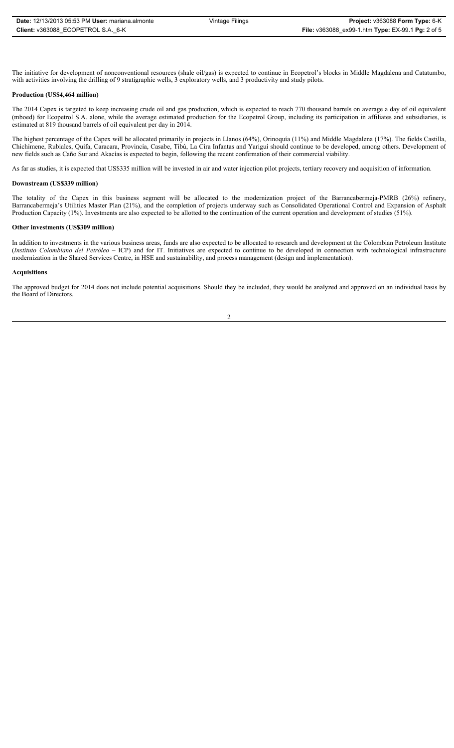The initiative for development of nonconventional resources (shale oil/gas) is expected to continue in Ecopetrol's blocks in Middle Magdalena and Catatumbo, with activities involving the drilling of 9 stratigraphic wells, 3 exploratory wells, and 3 productivity and study pilots.

### **Production (US\$4,464 million)**

The 2014 Capex is targeted to keep increasing crude oil and gas production, which is expected to reach 770 thousand barrels on average a day of oil equivalent (mboed) for Ecopetrol S.A. alone, while the average estimated production for the Ecopetrol Group, including its participation in affiliates and subsidiaries, is estimated at 819 thousand barrels of oil equivalent per day in 2014.

The highest percentage of the Capex will be allocated primarily in projects in Llanos (64%), Orinoquía (11%) and Middle Magdalena (17%). The fields Castilla, Chichimene, Rubiales, Quifa, Caracara, Provincia, Casabe, Tibú, La Cira Infantas and Yariguí should continue to be developed, among others. Development of new fields such as Caño Sur and Akacías is expected to begin, following the recent confirmation of their commercial viability.

As far as studies, it is expected that US\$335 million will be invested in air and water injection pilot projects, tertiary recovery and acquisition of information.

#### **Downstream (US\$339 million)**

The totality of the Capex in this business segment will be allocated to the modernization project of the Barrancabermeja-PMRB (26%) refinery, Barrancabermeja's Utilities Master Plan (21%), and the completion of projects underway such as Consolidated Operational Control and Expansion of Asphalt Production Capacity (1%). Investments are also expected to be allotted to the continuation of the current operation and development of studies (51%).

#### **Other investments (US\$309 million)**

In addition to investments in the various business areas, funds are also expected to be allocated to research and development at the Colombian Petroleum Institute (*Instituto Colombiano del Petróleo* – ICP) and for IT. Initiatives are expected to continue to be developed in connection with technological infrastructure modernization in the Shared Services Centre, in HSE and sustainability, and process management (design and implementation).

#### **Acquisitions**

The approved budget for 2014 does not include potential acquisitions. Should they be included, they would be analyzed and approved on an individual basis by the Board of Directors.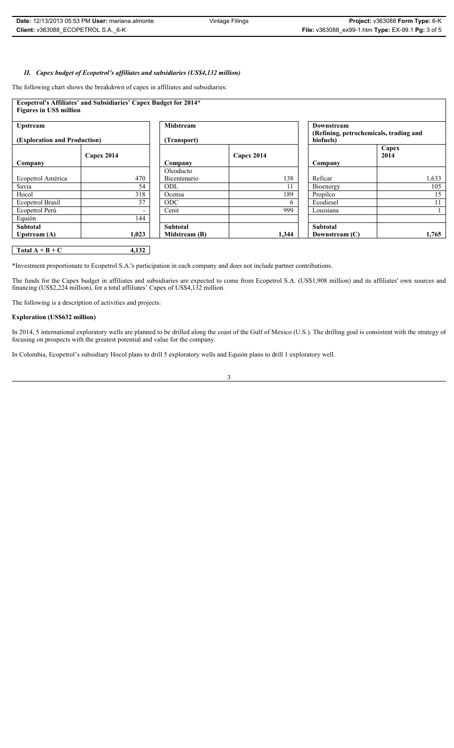### *II. Capex budget of Ecopetrol's affiliates and subsidiaries (US\$4,132 million)*

The following chart shows the breakdown of capex in affiliates and subsidiaries:

| Ecopetrol's Affiliates' and Subsidiaries' Capex Budget for 2014* |                                             |                  |            |                                        |       |
|------------------------------------------------------------------|---------------------------------------------|------------------|------------|----------------------------------------|-------|
| <b>Figures in US\$ million</b>                                   |                                             |                  |            |                                        |       |
|                                                                  |                                             |                  |            |                                        |       |
| <b>Upstream</b>                                                  |                                             | <b>Midstream</b> |            | Downstream                             |       |
|                                                                  |                                             |                  |            | (Refining, petrochemicals, trading and |       |
|                                                                  | (Exploration and Production)<br>(Transport) |                  |            | biofuels)                              |       |
|                                                                  |                                             |                  |            |                                        | Capex |
|                                                                  | Capex 2014                                  |                  | Capex 2014 |                                        | 2014  |
| Company                                                          |                                             | Company          |            | Company                                |       |
|                                                                  |                                             | Oleoducto        |            |                                        |       |
| Ecopetrol América                                                | 470                                         | Bicentenario     | 138        | Reficar                                | 1,633 |
| Savia                                                            | 54                                          | ODL              | 11         | Bioenergy                              | 105   |
| Hocol                                                            | 318                                         | Ocensa           | 189        | Propilco                               | 15    |
| Ecopetrol Brasil                                                 | 37                                          | <b>ODC</b>       | 6          | Ecodiesel                              | 11    |
| Ecopetrol Perú                                                   |                                             | Cenit            | 999        | Louisiana                              |       |
| Equión                                                           | 144                                         |                  |            |                                        |       |
| <b>Subtotal</b>                                                  |                                             | <b>Subtotal</b>  |            | <b>Subtotal</b>                        |       |
| Upstream $(A)$                                                   | 1,023                                       | Midstream (B)    | 1,344      | Downstream (C)                         | 1,765 |
|                                                                  |                                             |                  |            |                                        |       |

## **Total A + B + C 4,132**

\*Investment proportionate to Ecopetrol S.A.'s participation in each company and does not include partner contributions.

The funds for the Capex budget in affiliates and subsidiaries are expected to come from Ecopetrol S.A. (US\$1,908 million) and its affiliates' own sources and financing (US\$2,224 million), for a total affiliates' Capex of US\$4,132 million.

The following is a description of activities and projects:

### **Exploration (US\$632 million)**

In 2014, 5 international exploratory wells are planned to be drilled along the coast of the Gulf of Mexico (U.S.). The drilling goal is consistent with the strategy of focusing on prospects with the greatest potential and value for the company.

In Colombia, Ecopetrol's subsidiary Hocol plans to drill 5 exploratory wells and Equión plans to drill 1 exploratory well.

3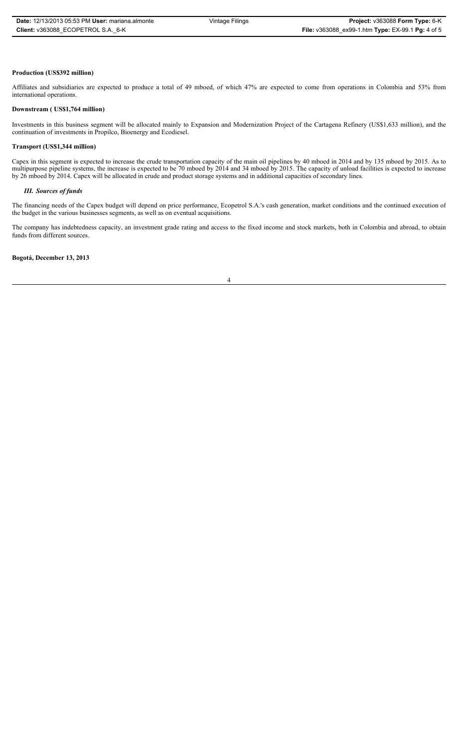### **Production (US\$392 million)**

Affiliates and subsidiaries are expected to produce a total of 49 mboed, of which 47% are expected to come from operations in Colombia and 53% from international operations.

#### **Downstream ( US\$1,764 million)**

Investments in this business segment will be allocated mainly to Expansion and Modernization Project of the Cartagena Refinery (US\$1,633 million), and the continuation of investments in Propilco, Bioenergy and Ecodiesel.

### **Transport (US\$1,344 million)**

Capex in this segment is expected to increase the crude transportation capacity of the main oil pipelines by 40 mboed in 2014 and by 135 mboed by 2015. As to multipurpose pipeline systems, the increase is expected to be 70 mboed by 2014 and 34 mboed by 2015. The capacity of unload facilities is expected to increase by 26 mboed by 2014. Capex will be allocated in crude and product storage systems and in additional capacities of secondary lines.

#### *III. Sources of funds*

The financing needs of the Capex budget will depend on price performance, Ecopetrol S.A.'s cash generation, market conditions and the continued execution of the budget in the various businesses segments, as well as on eventual acquisitions.

The company has indebtedness capacity, an investment grade rating and access to the fixed income and stock markets, both in Colombia and abroad, to obtain funds from different sources.

#### **Bogotá, December 13, 2013**